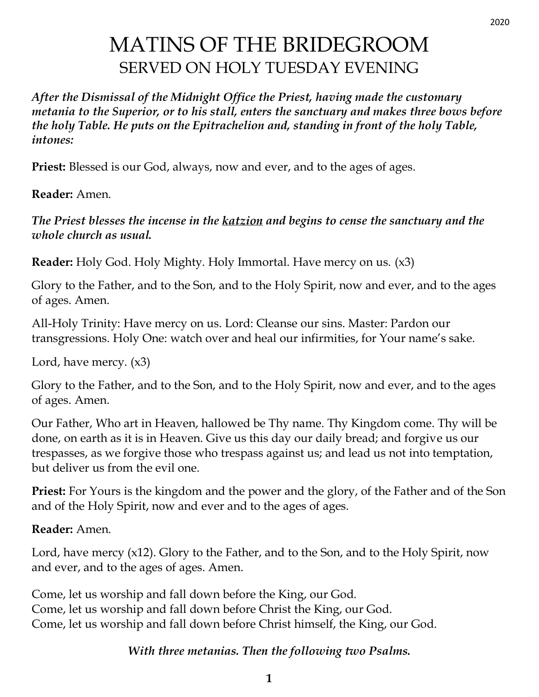# MATINS OF THE BRIDEGROOM SERVED ON HOLY TUESDAY EVENING

*After the Dismissal of the Midnight Office the Priest, having made the customary metania to the Superior, or to his stall, enters the sanctuary and makes three bows before the holy Table. He puts on the Epitrachelion and, standing in front of the holy Table, intones:*

**Priest:** Blessed is our God, always, now and ever, and to the ages of ages.

**Reader:** Amen.

*The Priest blesses the incense in the katzion and begins to cense the sanctuary and the whole church as usual.*

**Reader:** Holy God. Holy Mighty. Holy Immortal. Have mercy on us. (x3)

Glory to the Father, and to the Son, and to the Holy Spirit, now and ever, and to the ages of ages. Amen.

All-Holy Trinity: Have mercy on us. Lord: Cleanse our sins. Master: Pardon our transgressions. Holy One: watch over and heal our infirmities, for Your name's sake.

Lord, have mercy. (x3)

Glory to the Father, and to the Son, and to the Holy Spirit, now and ever, and to the ages of ages. Amen.

Our Father, Who art in Heaven, hallowed be Thy name. Thy Kingdom come. Thy will be done, on earth as it is in Heaven. Give us this day our daily bread; and forgive us our trespasses, as we forgive those who trespass against us; and lead us not into temptation, but deliver us from the evil one.

**Priest:** For Yours is the kingdom and the power and the glory, of the Father and of the Son and of the Holy Spirit, now and ever and to the ages of ages.

**Reader:** Amen.

Lord, have mercy (x12). Glory to the Father, and to the Son, and to the Holy Spirit, now and ever, and to the ages of ages. Amen.

Come, let us worship and fall down before the King, our God. Come, let us worship and fall down before Christ the King, our God. Come, let us worship and fall down before Christ himself, the King, our God.

# *With three metanias. Then the following two Psalms.*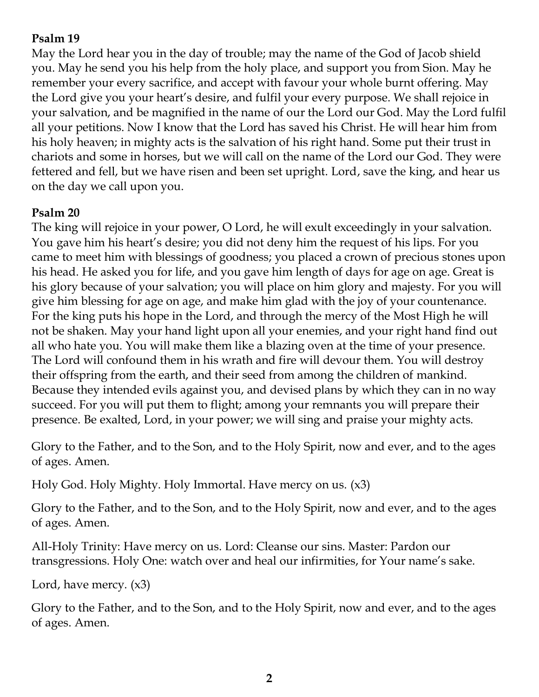#### **Psalm 19**

May the Lord hear you in the day of trouble; may the name of the God of Jacob shield you. May he send you his help from the holy place, and support you from Sion. May he remember your every sacrifice, and accept with favour your whole burnt offering. May the Lord give you your heart's desire, and fulfil your every purpose. We shall rejoice in your salvation, and be magnified in the name of our the Lord our God. May the Lord fulfil all your petitions. Now I know that the Lord has saved his Christ. He will hear him from his holy heaven; in mighty acts is the salvation of his right hand. Some put their trust in chariots and some in horses, but we will call on the name of the Lord our God. They were fettered and fell, but we have risen and been set upright. Lord, save the king, and hear us on the day we call upon you.

#### **Psalm 20**

The king will rejoice in your power, O Lord, he will exult exceedingly in your salvation. You gave him his heart's desire; you did not deny him the request of his lips. For you came to meet him with blessings of goodness; you placed a crown of precious stones upon his head. He asked you for life, and you gave him length of days for age on age. Great is his glory because of your salvation; you will place on him glory and majesty. For you will give him blessing for age on age, and make him glad with the joy of your countenance. For the king puts his hope in the Lord, and through the mercy of the Most High he will not be shaken. May your hand light upon all your enemies, and your right hand find out all who hate you. You will make them like a blazing oven at the time of your presence. The Lord will confound them in his wrath and fire will devour them. You will destroy their offspring from the earth, and their seed from among the children of mankind. Because they intended evils against you, and devised plans by which they can in no way succeed. For you will put them to flight; among your remnants you will prepare their presence. Be exalted, Lord, in your power; we will sing and praise your mighty acts.

Glory to the Father, and to the Son, and to the Holy Spirit, now and ever, and to the ages of ages. Amen.

Holy God. Holy Mighty. Holy Immortal. Have mercy on us. (x3)

Glory to the Father, and to the Son, and to the Holy Spirit, now and ever, and to the ages of ages. Amen.

All-Holy Trinity: Have mercy on us. Lord: Cleanse our sins. Master: Pardon our transgressions. Holy One: watch over and heal our infirmities, for Your name's sake.

Lord, have mercy. (x3)

Glory to the Father, and to the Son, and to the Holy Spirit, now and ever, and to the ages of ages. Amen.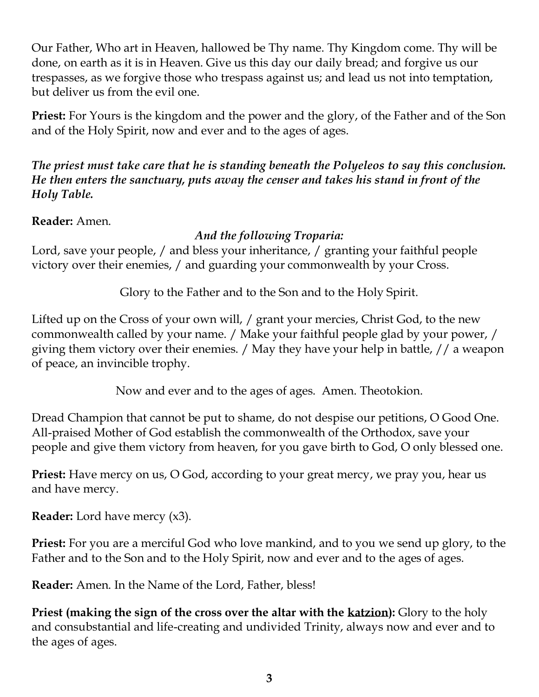Our Father, Who art in Heaven, hallowed be Thy name. Thy Kingdom come. Thy will be done, on earth as it is in Heaven. Give us this day our daily bread; and forgive us our trespasses, as we forgive those who trespass against us; and lead us not into temptation, but deliver us from the evil one.

**Priest:** For Yours is the kingdom and the power and the glory, of the Father and of the Son and of the Holy Spirit, now and ever and to the ages of ages.

*The priest must take care that he is standing beneath the Polyeleos to say this conclusion. He then enters the sanctuary, puts away the censer and takes his stand in front of the Holy Table.*

**Reader:** Amen.

### *And the following Troparia:*

Lord, save your people, / and bless your inheritance, / granting your faithful people victory over their enemies, / and guarding your commonwealth by your Cross.

Glory to the Father and to the Son and to the Holy Spirit.

Lifted up on the Cross of your own will, / grant your mercies, Christ God, to the new commonwealth called by your name. / Make your faithful people glad by your power, / giving them victory over their enemies. / May they have your help in battle, // a weapon of peace, an invincible trophy.

Now and ever and to the ages of ages. Amen. Theotokion.

Dread Champion that cannot be put to shame, do not despise our petitions, O Good One. All-praised Mother of God establish the commonwealth of the Orthodox, save your people and give them victory from heaven, for you gave birth to God, O only blessed one.

**Priest:** Have mercy on us, O God, according to your great mercy, we pray you, hear us and have mercy.

**Reader:** Lord have mercy (x3).

**Priest:** For you are a merciful God who love mankind, and to you we send up glory, to the Father and to the Son and to the Holy Spirit, now and ever and to the ages of ages.

**Reader:** Amen. In the Name of the Lord, Father, bless!

**Priest (making the sign of the cross over the altar with the katzion):** Glory to the holy and consubstantial and life-creating and undivided Trinity, always now and ever and to the ages of ages.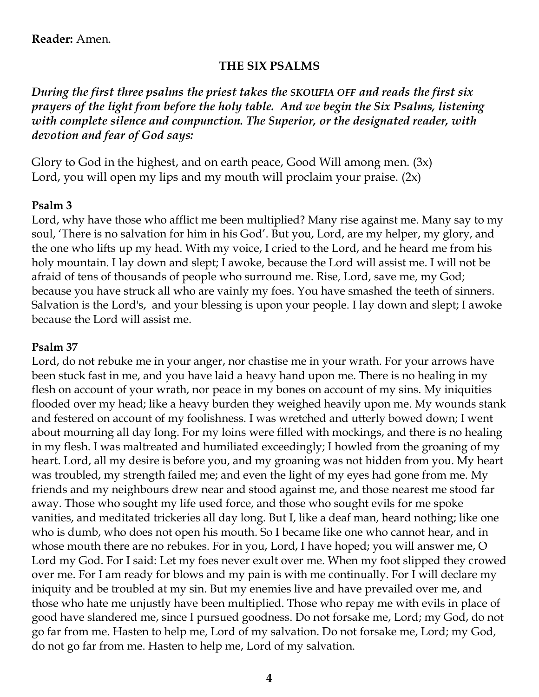#### **THE SIX PSALMS**

*During the first three psalms the priest takes the SKOUFIA OFF and reads the first six prayers of the light from before the holy table. And we begin the Six Psalms, listening with complete silence and compunction. The Superior, or the designated reader, with devotion and fear of God says:*

Glory to God in the highest, and on earth peace, Good Will among men. (3x) Lord, you will open my lips and my mouth will proclaim your praise.  $(2x)$ 

#### **Psalm 3**

Lord, why have those who afflict me been multiplied? Many rise against me. Many say to my soul, 'There is no salvation for him in his God'. But you, Lord, are my helper, my glory, and the one who lifts up my head. With my voice, I cried to the Lord, and he heard me from his holy mountain. I lay down and slept; I awoke, because the Lord will assist me. I will not be afraid of tens of thousands of people who surround me. Rise, Lord, save me, my God; because you have struck all who are vainly my foes. You have smashed the teeth of sinners. Salvation is the Lord's, and your blessing is upon your people. I lay down and slept; I awoke because the Lord will assist me.

#### **Psalm 37**

Lord, do not rebuke me in your anger, nor chastise me in your wrath. For your arrows have been stuck fast in me, and you have laid a heavy hand upon me. There is no healing in my flesh on account of your wrath, nor peace in my bones on account of my sins. My iniquities flooded over my head; like a heavy burden they weighed heavily upon me. My wounds stank and festered on account of my foolishness. I was wretched and utterly bowed down; I went about mourning all day long. For my loins were filled with mockings, and there is no healing in my flesh. I was maltreated and humiliated exceedingly; I howled from the groaning of my heart. Lord, all my desire is before you, and my groaning was not hidden from you. My heart was troubled, my strength failed me; and even the light of my eyes had gone from me. My friends and my neighbours drew near and stood against me, and those nearest me stood far away. Those who sought my life used force, and those who sought evils for me spoke vanities, and meditated trickeries all day long. But I, like a deaf man, heard nothing; like one who is dumb, who does not open his mouth. So I became like one who cannot hear, and in whose mouth there are no rebukes. For in you, Lord, I have hoped; you will answer me, O Lord my God. For I said: Let my foes never exult over me. When my foot slipped they crowed over me. For I am ready for blows and my pain is with me continually. For I will declare my iniquity and be troubled at my sin. But my enemies live and have prevailed over me, and those who hate me unjustly have been multiplied. Those who repay me with evils in place of good have slandered me, since I pursued goodness. Do not forsake me, Lord; my God, do not go far from me. Hasten to help me, Lord of my salvation. Do not forsake me, Lord; my God, do not go far from me. Hasten to help me, Lord of my salvation.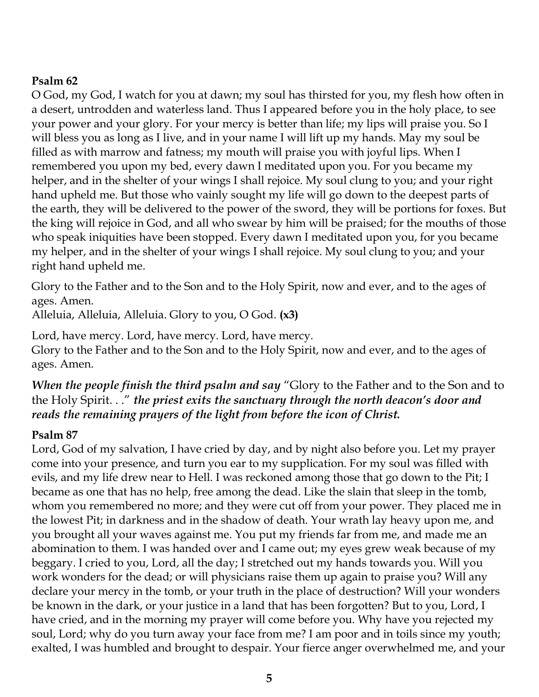#### **Psalm 62**

O God, my God, I watch for you at dawn; my soul has thirsted for you, my flesh how often in a desert, untrodden and waterless land. Thus I appeared before you in the holy place, to see your power and your glory. For your mercy is better than life; my lips will praise you. So I will bless you as long as I live, and in your name I will lift up my hands. May my soul be filled as with marrow and fatness; my mouth will praise you with joyful lips. When I remembered you upon my bed, every dawn I meditated upon you. For you became my helper, and in the shelter of your wings I shall rejoice. My soul clung to you; and your right hand upheld me. But those who vainly sought my life will go down to the deepest parts of the earth, they will be delivered to the power of the sword, they will be portions for foxes. But the king will rejoice in God, and all who swear by him will be praised; for the mouths of those who speak iniquities have been stopped. Every dawn I meditated upon you, for you became my helper, and in the shelter of your wings I shall rejoice. My soul clung to you; and your right hand upheld me.

Glory to the Father and to the Son and to the Holy Spirit, now and ever, and to the ages of ages. Amen.

Alleluia, Alleluia, Alleluia. Glory to you, O God. **(x3)**

Lord, have mercy. Lord, have mercy. Lord, have mercy. Glory to the Father and to the Son and to the Holy Spirit, now and ever, and to the ages of ages. Amen.

*When the people finish the third psalm and say* "Glory to the Father and to the Son and to the Holy Spirit. . ." *the priest exits the sanctuary through the north deacon's door and reads the remaining prayers of the light from before the icon of Christ.*

#### **Psalm 87**

Lord, God of my salvation, I have cried by day, and by night also before you. Let my prayer come into your presence, and turn you ear to my supplication. For my soul was filled with evils, and my life drew near to Hell. I was reckoned among those that go down to the Pit; I became as one that has no help, free among the dead. Like the slain that sleep in the tomb, whom you remembered no more; and they were cut off from your power. They placed me in the lowest Pit; in darkness and in the shadow of death. Your wrath lay heavy upon me, and you brought all your waves against me. You put my friends far from me, and made me an abomination to them. I was handed over and I came out; my eyes grew weak because of my beggary. I cried to you, Lord, all the day; I stretched out my hands towards you. Will you work wonders for the dead; or will physicians raise them up again to praise you? Will any declare your mercy in the tomb, or your truth in the place of destruction? Will your wonders be known in the dark, or your justice in a land that has been forgotten? But to you, Lord, I have cried, and in the morning my prayer will come before you. Why have you rejected my soul, Lord; why do you turn away your face from me? I am poor and in toils since my youth; exalted, I was humbled and brought to despair. Your fierce anger overwhelmed me, and your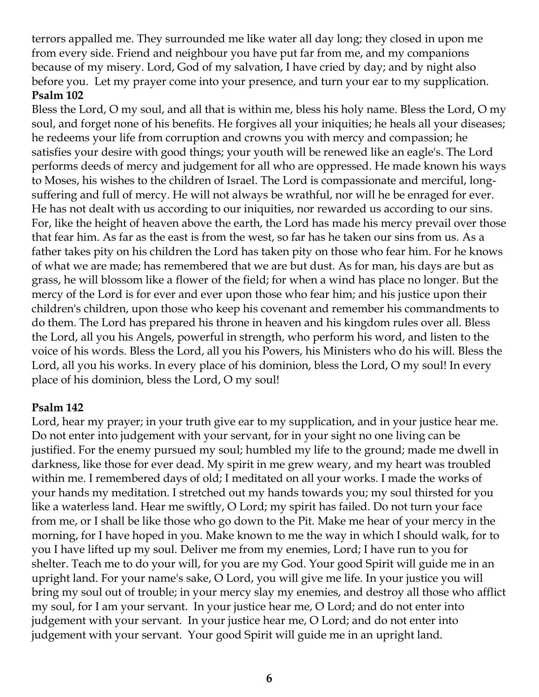terrors appalled me. They surrounded me like water all day long; they closed in upon me from every side. Friend and neighbour you have put far from me, and my companions because of my misery. Lord, God of my salvation, I have cried by day; and by night also before you. Let my prayer come into your presence, and turn your ear to my supplication. **Psalm 102**

Bless the Lord, O my soul, and all that is within me, bless his holy name. Bless the Lord, O my soul, and forget none of his benefits. He forgives all your iniquities; he heals all your diseases; he redeems your life from corruption and crowns you with mercy and compassion; he satisfies your desire with good things; your youth will be renewed like an eagle's. The Lord performs deeds of mercy and judgement for all who are oppressed. He made known his ways to Moses, his wishes to the children of Israel. The Lord is compassionate and merciful, longsuffering and full of mercy. He will not always be wrathful, nor will he be enraged for ever. He has not dealt with us according to our iniquities, nor rewarded us according to our sins. For, like the height of heaven above the earth, the Lord has made his mercy prevail over those that fear him. As far as the east is from the west, so far has he taken our sins from us. As a father takes pity on his children the Lord has taken pity on those who fear him. For he knows of what we are made; has remembered that we are but dust. As for man, his days are but as grass, he will blossom like a flower of the field; for when a wind has place no longer. But the mercy of the Lord is for ever and ever upon those who fear him; and his justice upon their children's children, upon those who keep his covenant and remember his commandments to do them. The Lord has prepared his throne in heaven and his kingdom rules over all. Bless the Lord, all you his Angels, powerful in strength, who perform his word, and listen to the voice of his words. Bless the Lord, all you his Powers, his Ministers who do his will. Bless the Lord, all you his works. In every place of his dominion, bless the Lord, O my soul! In every place of his dominion, bless the Lord, O my soul!

#### **Psalm 142**

Lord, hear my prayer; in your truth give ear to my supplication, and in your justice hear me. Do not enter into judgement with your servant, for in your sight no one living can be justified. For the enemy pursued my soul; humbled my life to the ground; made me dwell in darkness, like those for ever dead. My spirit in me grew weary, and my heart was troubled within me. I remembered days of old; I meditated on all your works. I made the works of your hands my meditation. I stretched out my hands towards you; my soul thirsted for you like a waterless land. Hear me swiftly, O Lord; my spirit has failed. Do not turn your face from me, or I shall be like those who go down to the Pit. Make me hear of your mercy in the morning, for I have hoped in you. Make known to me the way in which I should walk, for to you I have lifted up my soul. Deliver me from my enemies, Lord; I have run to you for shelter. Teach me to do your will, for you are my God. Your good Spirit will guide me in an upright land. For your name's sake, O Lord, you will give me life. In your justice you will bring my soul out of trouble; in your mercy slay my enemies, and destroy all those who afflict my soul, for I am your servant. In your justice hear me, O Lord; and do not enter into judgement with your servant. In your justice hear me, O Lord; and do not enter into judgement with your servant. Your good Spirit will guide me in an upright land.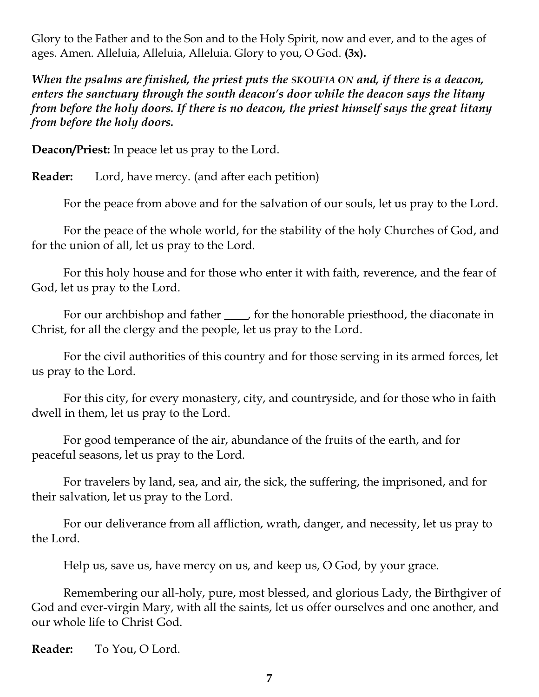Glory to the Father and to the Son and to the Holy Spirit, now and ever, and to the ages of ages. Amen. Alleluia, Alleluia, Alleluia. Glory to you, O God. **(3x).**

*When the psalms are finished, the priest puts the SKOUFIA ON and, if there is a deacon, enters the sanctuary through the south deacon's door while the deacon says the litany from before the holy doors. If there is no deacon, the priest himself says the great litany from before the holy doors.*

**Deacon/Priest:** In peace let us pray to the Lord.

**Reader:** Lord, have mercy. (and after each petition)

For the peace from above and for the salvation of our souls, let us pray to the Lord.

For the peace of the whole world, for the stability of the holy Churches of God, and for the union of all, let us pray to the Lord.

For this holy house and for those who enter it with faith, reverence, and the fear of God, let us pray to the Lord.

For our archbishop and father  $\qquad$ , for the honorable priesthood, the diaconate in Christ, for all the clergy and the people, let us pray to the Lord.

For the civil authorities of this country and for those serving in its armed forces, let us pray to the Lord.

For this city, for every monastery, city, and countryside, and for those who in faith dwell in them, let us pray to the Lord.

For good temperance of the air, abundance of the fruits of the earth, and for peaceful seasons, let us pray to the Lord.

For travelers by land, sea, and air, the sick, the suffering, the imprisoned, and for their salvation, let us pray to the Lord.

For our deliverance from all affliction, wrath, danger, and necessity, let us pray to the Lord.

Help us, save us, have mercy on us, and keep us, O God, by your grace.

Remembering our all-holy, pure, most blessed, and glorious Lady, the Birthgiver of God and ever-virgin Mary, with all the saints, let us offer ourselves and one another, and our whole life to Christ God.

**Reader:** To You, O Lord.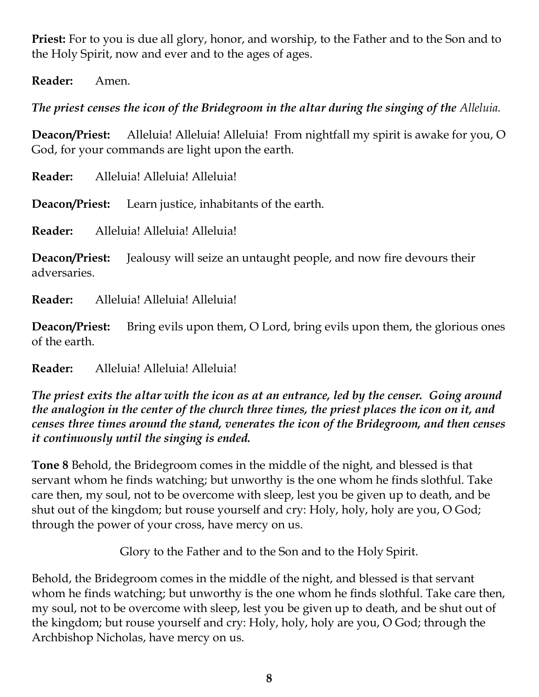**Priest:** For to you is due all glory, honor, and worship, to the Father and to the Son and to the Holy Spirit, now and ever and to the ages of ages.

**Reader:** Amen.

*The priest censes the icon of the Bridegroom in the altar during the singing of the Alleluia.*

**Deacon/Priest:** Alleluia! Alleluia! Alleluia! From nightfall my spirit is awake for you, O God, for your commands are light upon the earth.

**Reader:** Alleluia! Alleluia! Alleluia!

**Deacon/Priest:** Learn justice, inhabitants of the earth.

**Reader:** Alleluia! Alleluia! Alleluia!

**Deacon/Priest:** Jealousy will seize an untaught people, and now fire devours their adversaries.

**Reader:** Alleluia! Alleluia! Alleluia!

**Deacon/Priest:** Bring evils upon them, O Lord, bring evils upon them, the glorious ones of the earth.

**Reader:** Alleluia! Alleluia! Alleluia!

*The priest exits the altar with the icon as at an entrance, led by the censer. Going around the analogion in the center of the church three times, the priest places the icon on it, and censes three times around the stand, venerates the icon of the Bridegroom, and then censes it continuously until the singing is ended.*

**Tone 8** Behold, the Bridegroom comes in the middle of the night, and blessed is that servant whom he finds watching; but unworthy is the one whom he finds slothful. Take care then, my soul, not to be overcome with sleep, lest you be given up to death, and be shut out of the kingdom; but rouse yourself and cry: Holy, holy, holy are you, O God; through the power of your cross, have mercy on us.

Glory to the Father and to the Son and to the Holy Spirit.

Behold, the Bridegroom comes in the middle of the night, and blessed is that servant whom he finds watching; but unworthy is the one whom he finds slothful. Take care then, my soul, not to be overcome with sleep, lest you be given up to death, and be shut out of the kingdom; but rouse yourself and cry: Holy, holy, holy are you, O God; through the Archbishop Nicholas, have mercy on us.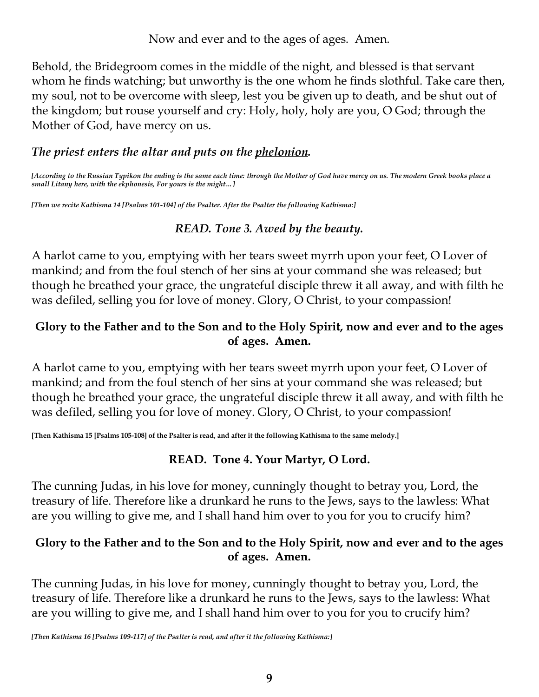Now and ever and to the ages of ages. Amen.

Behold, the Bridegroom comes in the middle of the night, and blessed is that servant whom he finds watching; but unworthy is the one whom he finds slothful. Take care then, my soul, not to be overcome with sleep, lest you be given up to death, and be shut out of the kingdom; but rouse yourself and cry: Holy, holy, holy are you, O God; through the Mother of God, have mercy on us.

### *The priest enters the altar and puts on the phelonion.*

*[According to the Russian Typikon the ending is the same each time: through the Mother of God have mercy on us. The modern Greek books place a small Litany here, with the ekphonesis, For yours is the might…]*

*[Then we recite Kathisma 14 [Psalms 101-104] of the Psalter. After the Psalter the following Kathisma:]*

### *READ. Tone 3. Awed by the beauty.*

A harlot came to you, emptying with her tears sweet myrrh upon your feet, O Lover of mankind; and from the foul stench of her sins at your command she was released; but though he breathed your grace, the ungrateful disciple threw it all away, and with filth he was defiled, selling you for love of money. Glory, O Christ, to your compassion!

### **Glory to the Father and to the Son and to the Holy Spirit, now and ever and to the ages of ages. Amen.**

A harlot came to you, emptying with her tears sweet myrrh upon your feet, O Lover of mankind; and from the foul stench of her sins at your command she was released; but though he breathed your grace, the ungrateful disciple threw it all away, and with filth he was defiled, selling you for love of money. Glory, O Christ, to your compassion!

**[Then Kathisma 15 [Psalms 105-108] of the Psalter is read, and after it the following Kathisma to the same melody.]**

### **READ. Tone 4. Your Martyr, O Lord.**

The cunning Judas, in his love for money, cunningly thought to betray you, Lord, the treasury of life. Therefore like a drunkard he runs to the Jews, says to the lawless: What are you willing to give me, and I shall hand him over to you for you to crucify him?

#### **Glory to the Father and to the Son and to the Holy Spirit, now and ever and to the ages of ages. Amen.**

The cunning Judas, in his love for money, cunningly thought to betray you, Lord, the treasury of life. Therefore like a drunkard he runs to the Jews, says to the lawless: What are you willing to give me, and I shall hand him over to you for you to crucify him?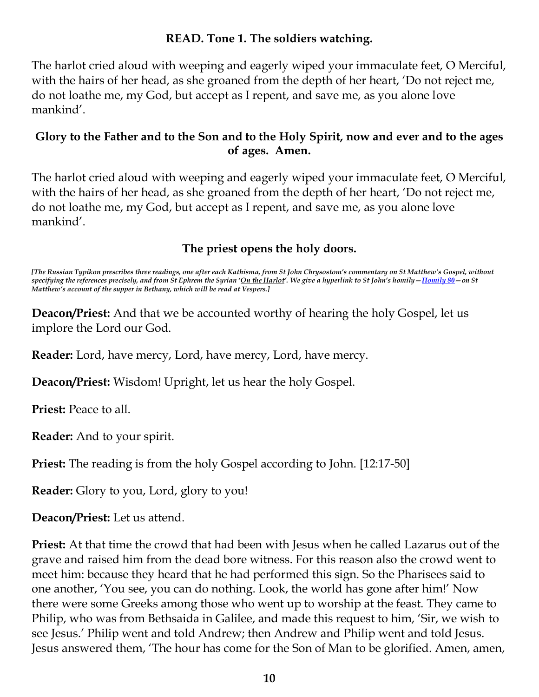#### **READ. Tone 1. The soldiers watching.**

The harlot cried aloud with weeping and eagerly wiped your immaculate feet, O Merciful, with the hairs of her head, as she groaned from the depth of her heart, 'Do not reject me, do not loathe me, my God, but accept as I repent, and save me, as you alone love mankind'.

#### **Glory to the Father and to the Son and to the Holy Spirit, now and ever and to the ages of ages. Amen.**

The harlot cried aloud with weeping and eagerly wiped your immaculate feet, O Merciful, with the hairs of her head, as she groaned from the depth of her heart, 'Do not reject me, do not loathe me, my God, but accept as I repent, and save me, as you alone love mankind'.

#### **The priest opens the holy doors.**

*[The Russian Typikon prescribes three readings, one after each Kathisma, from St John Chrysostom's commentary on St Matthew's Gospel, without specifying the references precisely, and from St Ephrem the Syrian '[On the Harlot](http://www.anastasis.org.uk/holyWed.htm)'. We give a hyperlink to St John's homily—[Homily](http://www.documentacatholicaomnia.eu/03d/0345-0407,_Iohannes_Chrysostomus,_Homilies_on_The_Gospel_Of_Matthew,_EN.pdf) 80—on St Matthew's account of the supper in Bethany, which will be read at Vespers.]*

**Deacon/Priest:** And that we be accounted worthy of hearing the holy Gospel, let us implore the Lord our God.

**Reader:** Lord, have mercy, Lord, have mercy, Lord, have mercy.

**Deacon/Priest:** Wisdom! Upright, let us hear the holy Gospel.

**Priest:** Peace to all.

**Reader:** And to your spirit.

**Priest:** The reading is from the holy Gospel according to John. [12:17-50]

**Reader:** Glory to you, Lord, glory to you!

**Deacon/Priest:** Let us attend.

**Priest:** At that time the crowd that had been with Jesus when he called Lazarus out of the grave and raised him from the dead bore witness. For this reason also the crowd went to meet him: because they heard that he had performed this sign. So the Pharisees said to one another, 'You see, you can do nothing. Look, the world has gone after him!' Now there were some Greeks among those who went up to worship at the feast. They came to Philip, who was from Bethsaida in Galilee, and made this request to him, 'Sir, we wish to see Jesus.' Philip went and told Andrew; then Andrew and Philip went and told Jesus. Jesus answered them, 'The hour has come for the Son of Man to be glorified. Amen, amen,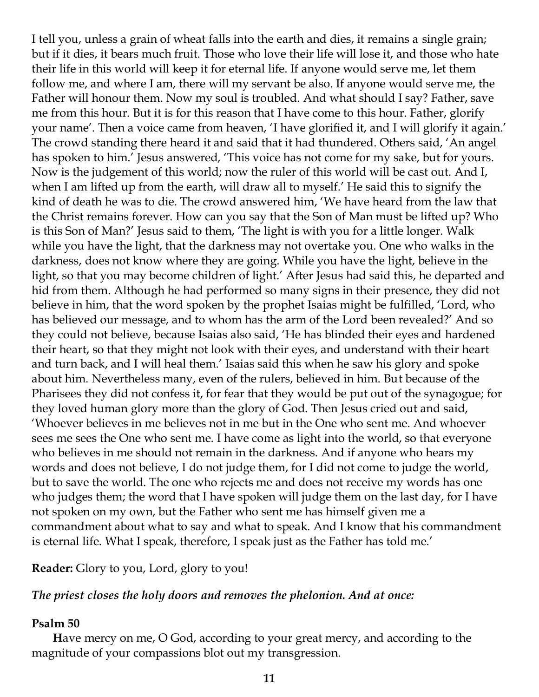I tell you, unless a grain of wheat falls into the earth and dies, it remains a single grain; but if it dies, it bears much fruit. Those who love their life will lose it, and those who hate their life in this world will keep it for eternal life. If anyone would serve me, let them follow me, and where I am, there will my servant be also. If anyone would serve me, the Father will honour them. Now my soul is troubled. And what should I say? Father, save me from this hour. But it is for this reason that I have come to this hour. Father, glorify your name'. Then a voice came from heaven, 'I have glorified it, and I will glorify it again.' The crowd standing there heard it and said that it had thundered. Others said, 'An angel has spoken to him.' Jesus answered, 'This voice has not come for my sake, but for yours. Now is the judgement of this world; now the ruler of this world will be cast out. And I, when I am lifted up from the earth, will draw all to myself.' He said this to signify the kind of death he was to die. The crowd answered him, 'We have heard from the law that the Christ remains forever. How can you say that the Son of Man must be lifted up? Who is this Son of Man?' Jesus said to them, 'The light is with you for a little longer. Walk while you have the light, that the darkness may not overtake you. One who walks in the darkness, does not know where they are going. While you have the light, believe in the light, so that you may become children of light.' After Jesus had said this, he departed and hid from them. Although he had performed so many signs in their presence, they did not believe in him, that the word spoken by the prophet Isaias might be fulfilled, 'Lord, who has believed our message, and to whom has the arm of the Lord been revealed?' And so they could not believe, because Isaias also said, 'He has blinded their eyes and hardened their heart, so that they might not look with their eyes, and understand with their heart and turn back, and I will heal them.' Isaias said this when he saw his glory and spoke about him. Nevertheless many, even of the rulers, believed in him. But because of the Pharisees they did not confess it, for fear that they would be put out of the synagogue; for they loved human glory more than the glory of God. Then Jesus cried out and said, 'Whoever believes in me believes not in me but in the One who sent me. And whoever sees me sees the One who sent me. I have come as light into the world, so that everyone who believes in me should not remain in the darkness. And if anyone who hears my words and does not believe, I do not judge them, for I did not come to judge the world, but to save the world. The one who rejects me and does not receive my words has one who judges them; the word that I have spoken will judge them on the last day, for I have not spoken on my own, but the Father who sent me has himself given me a commandment about what to say and what to speak. And I know that his commandment is eternal life. What I speak, therefore, I speak just as the Father has told me.'

#### **Reader:** Glory to you, Lord, glory to you!

#### *The priest closes the holy doors and removes the phelonion. And at once:*

#### **Psalm 50**

**H**ave mercy on me, O God, according to your great mercy, and according to the magnitude of your compassions blot out my transgression.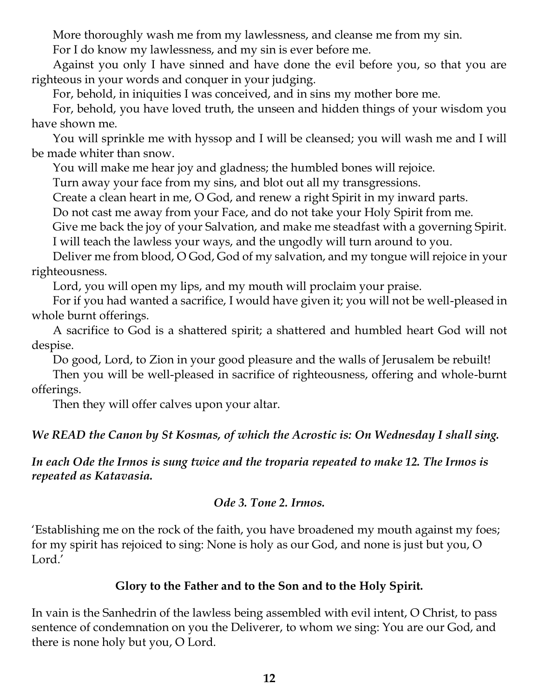More thoroughly wash me from my lawlessness, and cleanse me from my sin.

For I do know my lawlessness, and my sin is ever before me.

Against you only I have sinned and have done the evil before you, so that you are righteous in your words and conquer in your judging.

For, behold, in iniquities I was conceived, and in sins my mother bore me.

For, behold, you have loved truth, the unseen and hidden things of your wisdom you have shown me.

You will sprinkle me with hyssop and I will be cleansed; you will wash me and I will be made whiter than snow.

You will make me hear joy and gladness; the humbled bones will rejoice.

Turn away your face from my sins, and blot out all my transgressions.

Create a clean heart in me, O God, and renew a right Spirit in my inward parts.

Do not cast me away from your Face, and do not take your Holy Spirit from me.

Give me back the joy of your Salvation, and make me steadfast with a governing Spirit. I will teach the lawless your ways, and the ungodly will turn around to you.

Deliver me from blood, O God, God of my salvation, and my tongue will rejoice in your righteousness.

Lord, you will open my lips, and my mouth will proclaim your praise.

For if you had wanted a sacrifice, I would have given it; you will not be well-pleased in whole burnt offerings.

A sacrifice to God is a shattered spirit; a shattered and humbled heart God will not despise.

Do good, Lord, to Zion in your good pleasure and the walls of Jerusalem be rebuilt!

Then you will be well-pleased in sacrifice of righteousness, offering and whole-burnt offerings.

Then they will offer calves upon your altar.

# *We READ the Canon by St Kosmas, of which the Acrostic is: On Wednesday I shall sing.*

*In each Ode the Irmos is sung twice and the troparia repeated to make 12. The Irmos is repeated as Katavasia.*

# *Ode 3. Tone 2. Irmos.*

'Establishing me on the rock of the faith, you have broadened my mouth against my foes; for my spirit has rejoiced to sing: None is holy as our God, and none is just but you, O Lord.'

# **Glory to the Father and to the Son and to the Holy Spirit.**

In vain is the Sanhedrin of the lawless being assembled with evil intent, O Christ, to pass sentence of condemnation on you the Deliverer, to whom we sing: You are our God, and there is none holy but you, O Lord.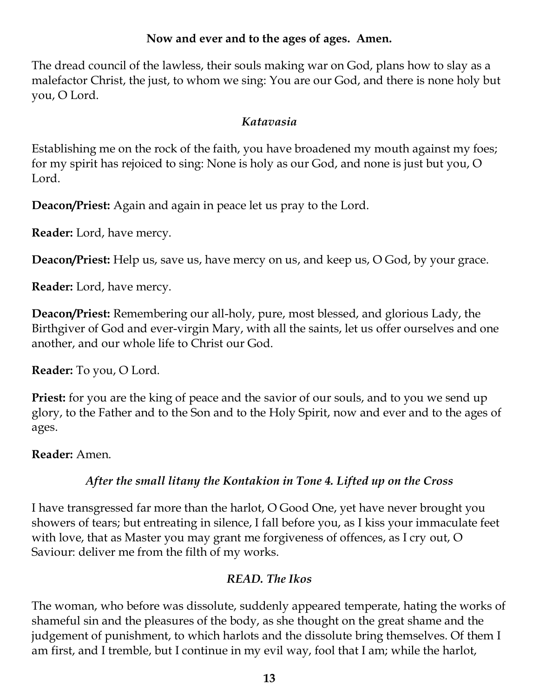#### **Now and ever and to the ages of ages. Amen.**

The dread council of the lawless, their souls making war on God, plans how to slay as a malefactor Christ, the just, to whom we sing: You are our God, and there is none holy but you, O Lord.

#### *Katavasia*

Establishing me on the rock of the faith, you have broadened my mouth against my foes; for my spirit has rejoiced to sing: None is holy as our God, and none is just but you, O Lord.

**Deacon/Priest:** Again and again in peace let us pray to the Lord.

**Reader:** Lord, have mercy.

**Deacon/Priest:** Help us, save us, have mercy on us, and keep us, O God, by your grace.

**Reader:** Lord, have mercy.

**Deacon/Priest:** Remembering our all-holy, pure, most blessed, and glorious Lady, the Birthgiver of God and ever-virgin Mary, with all the saints, let us offer ourselves and one another, and our whole life to Christ our God.

**Reader:** To you, O Lord.

**Priest:** for you are the king of peace and the savior of our souls, and to you we send up glory, to the Father and to the Son and to the Holy Spirit, now and ever and to the ages of ages.

**Reader:** Amen.

### *After the small litany the Kontakion in Tone 4. Lifted up on the Cross*

I have transgressed far more than the harlot, O Good One, yet have never brought you showers of tears; but entreating in silence, I fall before you, as I kiss your immaculate feet with love, that as Master you may grant me forgiveness of offences, as I cry out, O Saviour: deliver me from the filth of my works.

### *READ. The Ikos*

The woman, who before was dissolute, suddenly appeared temperate, hating the works of shameful sin and the pleasures of the body, as she thought on the great shame and the judgement of punishment, to which harlots and the dissolute bring themselves. Of them I am first, and I tremble, but I continue in my evil way, fool that I am; while the harlot,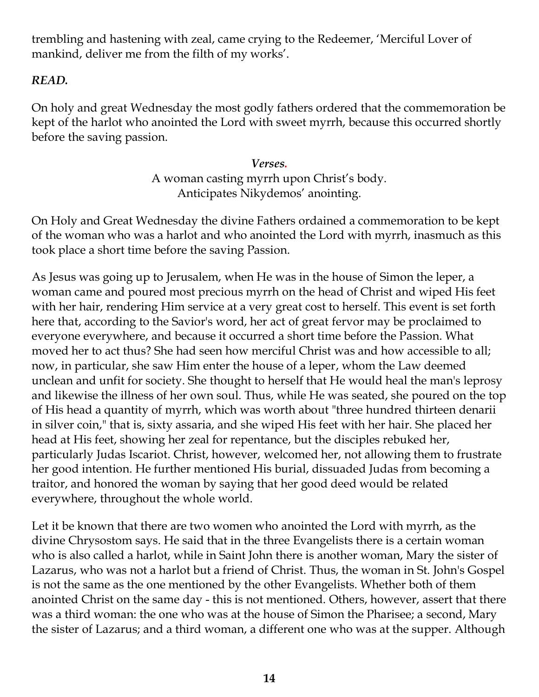trembling and hastening with zeal, came crying to the Redeemer, 'Merciful Lover of mankind, deliver me from the filth of my works'.

#### *READ.*

On holy and great Wednesday the most godly fathers ordered that the commemoration be kept of the harlot who anointed the Lord with sweet myrrh, because this occurred shortly before the saving passion.

> *Verses.* A woman casting myrrh upon Christ's body. Anticipates Nikуdemos' anointing.

On Holy and Great Wednesday the divine Fathers ordained a commemoration to be kept of the woman who was a harlot and who anointed the Lord with myrrh, inasmuch as this took place a short time before the saving Passion.

As Jesus was going up to Jerusalem, when He was in the house of Simon the leper, a woman came and poured most precious myrrh on the head of Christ and wiped His feet with her hair, rendering Him service at a very great cost to herself. This event is set forth here that, according to the Savior's word, her act of great fervor may be proclaimed to everyone everywhere, and because it occurred a short time before the Passion. What moved her to act thus? She had seen how merciful Christ was and how accessible to all; now, in particular, she saw Him enter the house of a leper, whom the Law deemed unclean and unfit for society. She thought to herself that He would heal the man's leprosy and likewise the illness of her own soul. Thus, while He was seated, she poured on the top of His head a quantity of myrrh, which was worth about "three hundred thirteen denarii in silver coin," that is, sixty assaria, and she wiped His feet with her hair. She placed her head at His feet, showing her zeal for repentance, but the disciples rebuked her, particularly Judas Iscariot. Christ, however, welcomed her, not allowing them to frustrate her good intention. He further mentioned His burial, dissuaded Judas from becoming a traitor, and honored the woman by saying that her good deed would be related everywhere, throughout the whole world.

Let it be known that there are two women who anointed the Lord with myrrh, as the divine Chrysostom says. He said that in the three Evangelists there is a certain woman who is also called a harlot, while in Saint John there is another woman, Mary the sister of Lazarus, who was not a harlot but a friend of Christ. Thus, the woman in St. John's Gospel is not the same as the one mentioned by the other Evangelists. Whether both of them anointed Christ on the same day - this is not mentioned. Others, however, assert that there was a third woman: the one who was at the house of Simon the Pharisee; a second, Mary the sister of Lazarus; and a third woman, a different one who was at the supper. Although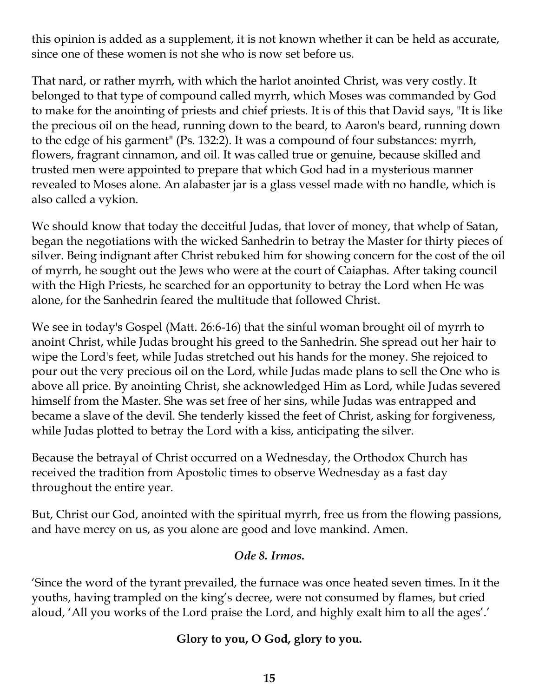this opinion is added as a supplement, it is not known whether it can be held as accurate, since one of these women is not she who is now set before us.

That nard, or rather myrrh, with which the harlot anointed Christ, was very costly. It belonged to that type of compound called myrrh, which Moses was commanded by God to make for the anointing of priests and chief priests. It is of this that David says, "It is like the precious oil on the head, running down to the beard, to Aaron's beard, running down to the edge of his garment" (Ps. 132:2). It was a compound of four substances: myrrh, flowers, fragrant cinnamon, and oil. It was called true or genuine, because skilled and trusted men were appointed to prepare that which God had in a mysterious manner revealed to Moses alone. An alabaster jar is a glass vessel made with no handle, which is also called a vykion.

We should know that today the deceitful Judas, that lover of money, that whelp of Satan, began the negotiations with the wicked Sanhedrin to betray the Master for thirty pieces of silver. Being indignant after Christ rebuked him for showing concern for the cost of the oil of myrrh, he sought out the Jews who were at the court of Caiaphas. After taking council with the High Priests, he searched for an opportunity to betray the Lord when He was alone, for the Sanhedrin feared the multitude that followed Christ.

We see in today's Gospel (Matt. 26:6-16) that the sinful woman brought oil of myrrh to anoint Christ, while Judas brought his greed to the Sanhedrin. She spread out her hair to wipe the Lord's feet, while Judas stretched out his hands for the money. She rejoiced to pour out the very precious oil on the Lord, while Judas made plans to sell the One who is above all price. By anointing Christ, she acknowledged Him as Lord, while Judas severed himself from the Master. She was set free of her sins, while Judas was entrapped and became a slave of the devil. She tenderly kissed the feet of Christ, asking for forgiveness, while Judas plotted to betray the Lord with a kiss, anticipating the silver.

Because the betrayal of Christ occurred on a Wednesday, the Orthodox Church has received the tradition from Apostolic times to observe Wednesday as a fast day throughout the entire year.

But, Christ our God, anointed with the spiritual myrrh, free us from the flowing passions, and have mercy on us, as you alone are good and love mankind. Amen.

### *Ode 8. Irmos.*

'Since the word of the tyrant prevailed, the furnace was once heated seven times. In it the youths, having trampled on the king's decree, were not consumed by flames, but cried aloud, 'All you works of the Lord praise the Lord, and highly exalt him to all the ages'.'

### **Glory to you, O God, glory to you.**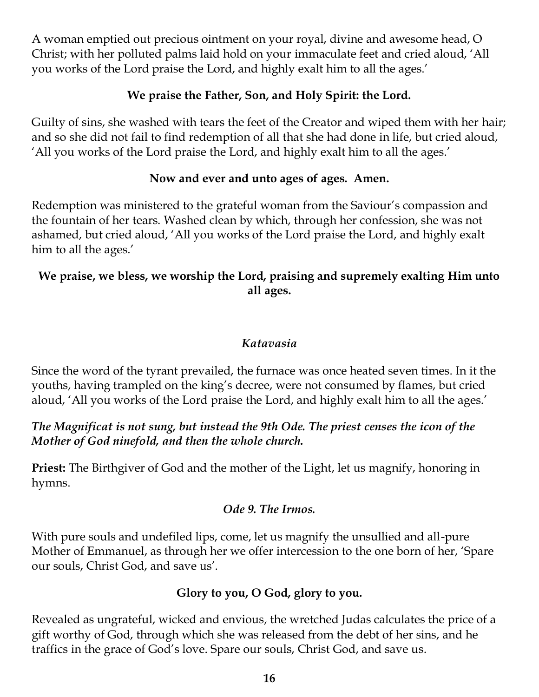A woman emptied out precious ointment on your royal, divine and awesome head, O Christ; with her polluted palms laid hold on your immaculate feet and cried aloud, 'All you works of the Lord praise the Lord, and highly exalt him to all the ages.'

### **We praise the Father, Son, and Holy Spirit: the Lord.**

Guilty of sins, she washed with tears the feet of the Creator and wiped them with her hair; and so she did not fail to find redemption of all that she had done in life, but cried aloud, 'All you works of the Lord praise the Lord, and highly exalt him to all the ages.'

### **Now and ever and unto ages of ages. Amen.**

Redemption was ministered to the grateful woman from the Saviour's compassion and the fountain of her tears. Washed clean by which, through her confession, she was not ashamed, but cried aloud, 'All you works of the Lord praise the Lord, and highly exalt him to all the ages.'

### **We praise, we bless, we worship the Lord, praising and supremely exalting Him unto all ages.**

### *Katavasia*

Since the word of the tyrant prevailed, the furnace was once heated seven times. In it the youths, having trampled on the king's decree, were not consumed by flames, but cried aloud, 'All you works of the Lord praise the Lord, and highly exalt him to all the ages.'

#### *The Magnificat is not sung, but instead the 9th Ode. The priest censes the icon of the Mother of God ninefold, and then the whole church.*

**Priest:** The Birthgiver of God and the mother of the Light, let us magnify, honoring in hymns.

### *Ode 9. The Irmos.*

With pure souls and undefiled lips, come, let us magnify the unsullied and all-pure Mother of Emmanuel, as through her we offer intercession to the one born of her, 'Spare our souls, Christ God, and save us'.

### **Glory to you, O God, glory to you.**

Revealed as ungrateful, wicked and envious, the wretched Judas calculates the price of a gift worthy of God, through which she was released from the debt of her sins, and he traffics in the grace of God's love. Spare our souls, Christ God, and save us.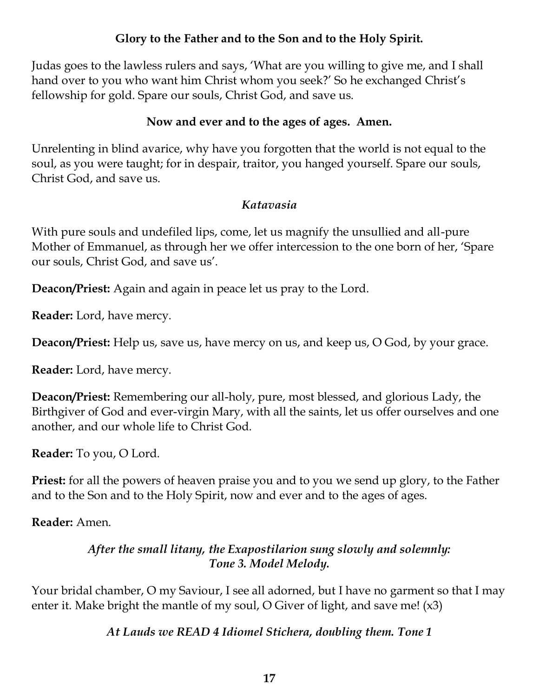### **Glory to the Father and to the Son and to the Holy Spirit.**

Judas goes to the lawless rulers and says, 'What are you willing to give me, and I shall hand over to you who want him Christ whom you seek?' So he exchanged Christ's fellowship for gold. Spare our souls, Christ God, and save us.

#### **Now and ever and to the ages of ages. Amen.**

Unrelenting in blind avarice, why have you forgotten that the world is not equal to the soul, as you were taught; for in despair, traitor, you hanged yourself. Spare our souls, Christ God, and save us.

### *Katavasia*

With pure souls and undefiled lips, come, let us magnify the unsullied and all-pure Mother of Emmanuel, as through her we offer intercession to the one born of her, 'Spare our souls, Christ God, and save us'.

**Deacon/Priest:** Again and again in peace let us pray to the Lord.

**Reader:** Lord, have mercy.

**Deacon/Priest:** Help us, save us, have mercy on us, and keep us, O God, by your grace.

**Reader:** Lord, have mercy.

**Deacon/Priest:** Remembering our all-holy, pure, most blessed, and glorious Lady, the Birthgiver of God and ever-virgin Mary, with all the saints, let us offer ourselves and one another, and our whole life to Christ God.

**Reader:** To you, O Lord.

**Priest:** for all the powers of heaven praise you and to you we send up glory, to the Father and to the Son and to the Holy Spirit, now and ever and to the ages of ages.

**Reader:** Amen.

#### *After the small litany, the Exapostilarion sung slowly and solemnly: Tone 3. Model Melody.*

Your bridal chamber, O my Saviour, I see all adorned, but I have no garment so that I may enter it. Make bright the mantle of my soul, O Giver of light, and save me!  $(x3)$ 

*At Lauds we READ 4 Idiomel Stichera, doubling them. Tone 1*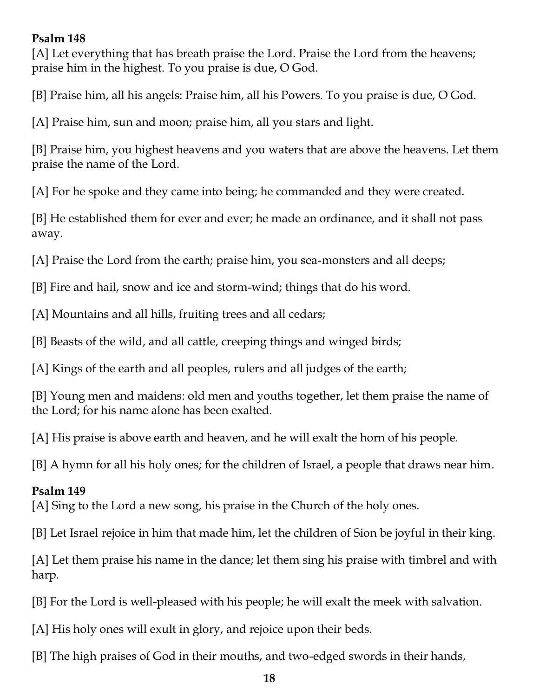#### **Psalm 148**

[A] Let everything that has breath praise the Lord. Praise the Lord from the heavens; praise him in the highest. To you praise is due, O God.

[B] Praise him, all his angels: Praise him, all his Powers. To you praise is due, O God.

[A] Praise him, sun and moon; praise him, all you stars and light.

[B] Praise him, you highest heavens and you waters that are above the heavens. Let them praise the name of the Lord.

[A] For he spoke and they came into being; he commanded and they were created.

[B] He established them for ever and ever; he made an ordinance, and it shall not pass away.

[A] Praise the Lord from the earth; praise him, you sea-monsters and all deeps;

[B] Fire and hail, snow and ice and storm-wind; things that do his word.

[A] Mountains and all hills, fruiting trees and all cedars;

[B] Beasts of the wild, and all cattle, creeping things and winged birds;

[A] Kings of the earth and all peoples, rulers and all judges of the earth;

[B] Young men and maidens: old men and youths together, let them praise the name of the Lord; for his name alone has been exalted.

[A] His praise is above earth and heaven, and he will exalt the horn of his people.

[B] A hymn for all his holy ones; for the children of Israel, a people that draws near him.

#### **Psalm 149**

[A] Sing to the Lord a new song, his praise in the Church of the holy ones.

[B] Let Israel rejoice in him that made him, let the children of Sion be joyful in their king.

[A] Let them praise his name in the dance; let them sing his praise with timbrel and with harp.

[B] For the Lord is well-pleased with his people; he will exalt the meek with salvation.

[A] His holy ones will exult in glory, and rejoice upon their beds.

[B] The high praises of God in their mouths, and two-edged swords in their hands,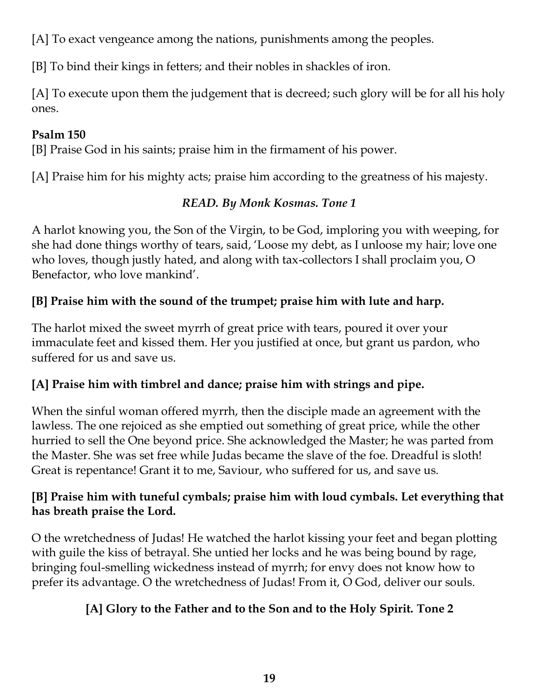[A] To exact vengeance among the nations, punishments among the peoples.

[B] To bind their kings in fetters; and their nobles in shackles of iron.

[A] To execute upon them the judgement that is decreed; such glory will be for all his holy ones.

### **Psalm 150**

[B] Praise God in his saints; praise him in the firmament of his power.

[A] Praise him for his mighty acts; praise him according to the greatness of his majesty.

# *READ. By Monk Kosmas. Tone 1*

A harlot knowing you, the Son of the Virgin, to be God, imploring you with weeping, for she had done things worthy of tears, said, 'Loose my debt, as I unloose my hair; love one who loves, though justly hated, and along with tax-collectors I shall proclaim you, O Benefactor, who love mankind'.

# **[B] Praise him with the sound of the trumpet; praise him with lute and harp.**

The harlot mixed the sweet myrrh of great price with tears, poured it over your immaculate feet and kissed them. Her you justified at once, but grant us pardon, who suffered for us and save us.

# **[A] Praise him with timbrel and dance; praise him with strings and pipe.**

When the sinful woman offered myrrh, then the disciple made an agreement with the lawless. The one rejoiced as she emptied out something of great price, while the other hurried to sell the One beyond price. She acknowledged the Master; he was parted from the Master. She was set free while Judas became the slave of the foe. Dreadful is sloth! Great is repentance! Grant it to me, Saviour, who suffered for us, and save us.

### **[B] Praise him with tuneful cymbals; praise him with loud cymbals. Let everything that has breath praise the Lord.**

O the wretchedness of Judas! He watched the harlot kissing your feet and began plotting with guile the kiss of betrayal. She untied her locks and he was being bound by rage, bringing foul-smelling wickedness instead of myrrh; for envy does not know how to prefer its advantage. O the wretchedness of Judas! From it, O God, deliver our souls.

# **[A] Glory to the Father and to the Son and to the Holy Spirit. Tone 2**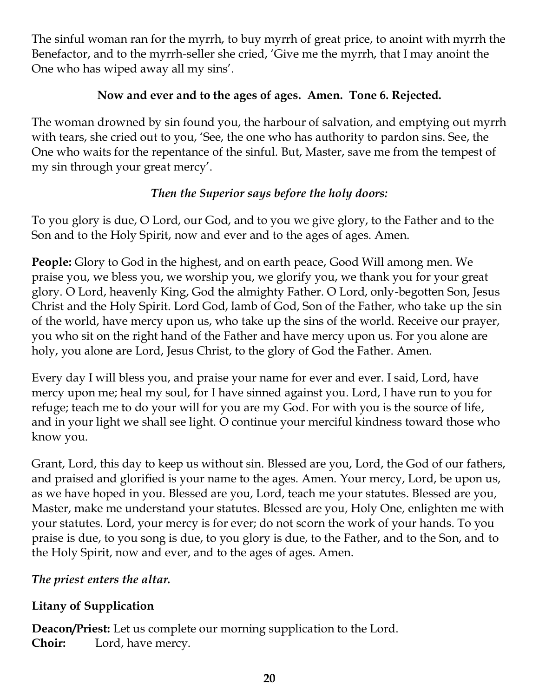The sinful woman ran for the myrrh, to buy myrrh of great price, to anoint with myrrh the Benefactor, and to the myrrh-seller she cried, 'Give me the myrrh, that I may anoint the One who has wiped away all my sins'.

### **Now and ever and to the ages of ages. Amen. Tone 6. [Rejected.](http://www.anastasis.org.uk/holyWed.htm)**

The woman drowned by sin found you, the harbour of salvation, and emptying out myrrh with tears, she cried out to you, 'See, the one who has authority to pardon sins. See, the One who waits for the repentance of the sinful. But, Master, save me from the tempest of my sin through your great mercy'.

### *Then the Superior says before the holy doors:*

To you glory is due, O Lord, our God, and to you we give glory, to the Father and to the Son and to the Holy Spirit, now and ever and to the ages of ages. Amen.

**People:** Glory to God in the highest, and on earth peace, Good Will among men. We praise you, we bless you, we worship you, we glorify you, we thank you for your great glory. O Lord, heavenly King, God the almighty Father. O Lord, only-begotten Son, Jesus Christ and the Holy Spirit. Lord God, lamb of God, Son of the Father, who take up the sin of the world, have mercy upon us, who take up the sins of the world. Receive our prayer, you who sit on the right hand of the Father and have mercy upon us. For you alone are holy, you alone are Lord, Jesus Christ, to the glory of God the Father. Amen.

Every day I will bless you, and praise your name for ever and ever. I said, Lord, have mercy upon me; heal my soul, for I have sinned against you. Lord, I have run to you for refuge; teach me to do your will for you are my God. For with you is the source of life, and in your light we shall see light. O continue your merciful kindness toward those who know you.

Grant, Lord, this day to keep us without sin. Blessed are you, Lord, the God of our fathers, and praised and glorified is your name to the ages. Amen. Your mercy, Lord, be upon us, as we have hoped in you. Blessed are you, Lord, teach me your statutes. Blessed are you, Master, make me understand your statutes. Blessed are you, Holy One, enlighten me with your statutes. Lord, your mercy is for ever; do not scorn the work of your hands. To you praise is due, to you song is due, to you glory is due, to the Father, and to the Son, and to the Holy Spirit, now and ever, and to the ages of ages. Amen.

# *The priest enters the altar.*

# **Litany of Supplication**

**Deacon/Priest:** Let us complete our morning supplication to the Lord. **Choir:** Lord, have mercy.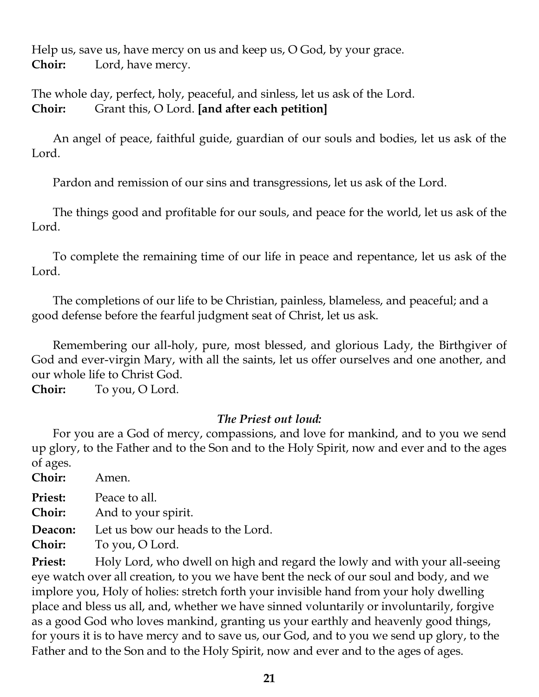Help us, save us, have mercy on us and keep us, O God, by your grace. **Choir:** Lord, have mercy.

The whole day, perfect, holy, peaceful, and sinless, let us ask of the Lord. **Choir:** Grant this, O Lord. **[and after each petition]**

An angel of peace, faithful guide, guardian of our souls and bodies, let us ask of the Lord.

Pardon and remission of our sins and transgressions, let us ask of the Lord.

The things good and profitable for our souls, and peace for the world, let us ask of the Lord.

To complete the remaining time of our life in peace and repentance, let us ask of the Lord.

The completions of our life to be Christian, painless, blameless, and peaceful; and a good defense before the fearful judgment seat of Christ, let us ask.

Remembering our all-holy, pure, most blessed, and glorious Lady, the Birthgiver of God and ever-virgin Mary, with all the saints, let us offer ourselves and one another, and our whole life to Christ God.

**Choir:** To you, O Lord.

#### *The Priest out loud:*

For you are a God of mercy, compassions, and love for mankind, and to you we send up glory, to the Father and to the Son and to the Holy Spirit, now and ever and to the ages of ages.

**Choir:** Amen.

**Priest:** Peace to all.

**Choir:** And to your spirit.

**Deacon:** Let us bow our heads to the Lord.

**Choir:** To you, O Lord.

**Priest:** Holy Lord, who dwell on high and regard the lowly and with your all-seeing eye watch over all creation, to you we have bent the neck of our soul and body, and we implore you, Holy of holies: stretch forth your invisible hand from your holy dwelling place and bless us all, and, whether we have sinned voluntarily or involuntarily, forgive as a good God who loves mankind, granting us your earthly and heavenly good things, for yours it is to have mercy and to save us, our God, and to you we send up glory, to the Father and to the Son and to the Holy Spirit, now and ever and to the ages of ages.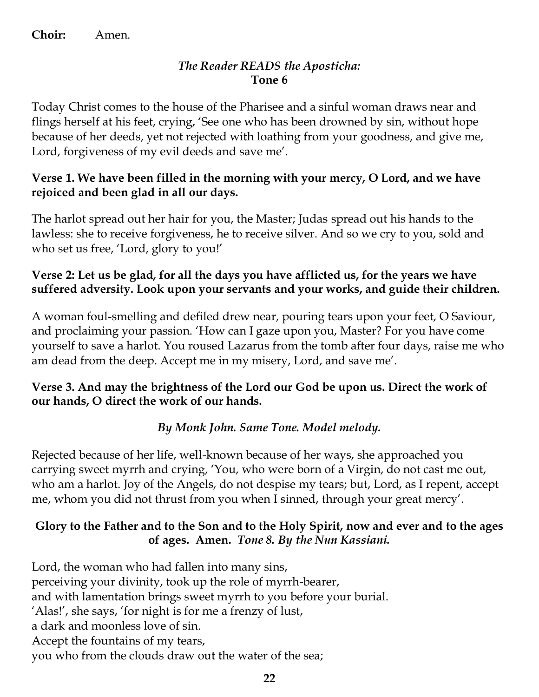#### *The Reader READS the Aposticha:* **Tone 6**

Today Christ comes to the house of the Pharisee and a sinful woman draws near and flings herself at his feet, crying, 'See one who has been drowned by sin, without hope because of her deeds, yet not rejected with loathing from your goodness, and give me, Lord, forgiveness of my evil deeds and save me'.

#### **Verse 1. We have been filled in the morning with your mercy, O Lord, and we have rejoiced and been glad in all our days.**

The harlot spread out her hair for you, the Master; Judas spread out his hands to the lawless: she to receive forgiveness, he to receive silver. And so we cry to you, sold and who set us free, 'Lord, glory to you!'

#### **Verse 2: Let us be glad, for all the days you have afflicted us, for the years we have suffered adversity. Look upon your servants and your works, and guide their children.**

A woman foul-smelling and defiled drew near, pouring tears upon your feet, O Saviour, and proclaiming your passion. 'How can I gaze upon you, Master? For you have come yourself to save a harlot. You roused Lazarus from the tomb after four days, raise me who am dead from the deep. Accept me in my misery, Lord, and save me'.

#### **Verse 3. And may the brightness of the Lord our God be upon us. Direct the work of our hands, O direct the work of our hands.**

### *By Monk John. Same Tone. Model melody.*

Rejected because of her life, well-known because of her ways, she approached you carrying sweet myrrh and crying, 'You, who were born of a Virgin, do not cast me out, who am a harlot. Joy of the Angels, do not despise my tears; but, Lord, as I repent, accept me, whom you did not thrust from you when I sinned, through your great mercy'.

#### **Glory to the Father and to the Son and to the Holy Spirit, now and ever and to the ages of ages. Amen.** *Tone 8. By the Nun Kassiani.*

Lord, the woman who had fallen into many sins, perceiving your divinity, took up the role of myrrh-bearer, and with lamentation brings sweet myrrh to you before your burial. 'Alas!', she says, 'for night is for me a frenzy of lust, a dark and moonless love of sin. Accept the fountains of my tears, you who from the clouds draw out the water of the sea;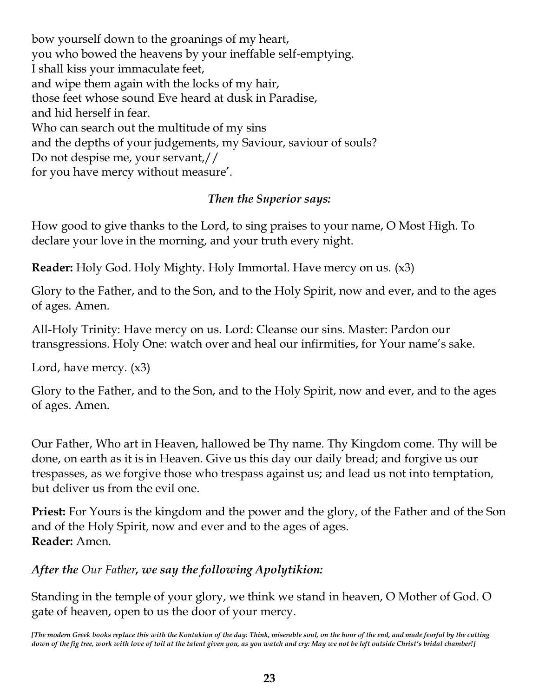bow yourself down to the groanings of my heart, you who bowed the heavens by your ineffable self-emptying. I shall kiss your immaculate feet, and wipe them again with the locks of my hair, those feet whose sound Eve heard at dusk in Paradise, and hid herself in fear. Who can search out the multitude of my sins and the depths of your judgements, my Saviour, saviour of souls? Do not despise me, your servant,// for you have mercy without measure'.

#### *Then the Superior says:*

How good to give thanks to the Lord, to sing praises to your name, O Most High. To declare your love in the morning, and your truth every night.

**Reader:** Holy God. Holy Mighty. Holy Immortal. Have mercy on us. (x3)

Glory to the Father, and to the Son, and to the Holy Spirit, now and ever, and to the ages of ages. Amen.

All-Holy Trinity: Have mercy on us. Lord: Cleanse our sins. Master: Pardon our transgressions. Holy One: watch over and heal our infirmities, for Your name's sake.

Lord, have mercy.  $(x3)$ 

Glory to the Father, and to the Son, and to the Holy Spirit, now and ever, and to the ages of ages. Amen.

Our Father, Who art in Heaven, hallowed be Thy name. Thy Kingdom come. Thy will be done, on earth as it is in Heaven. Give us this day our daily bread; and forgive us our trespasses, as we forgive those who trespass against us; and lead us not into temptation, but deliver us from the evil one.

**Priest:** For Yours is the kingdom and the power and the glory, of the Father and of the Son and of the Holy Spirit, now and ever and to the ages of ages. **Reader:** Amen.

### *After the Our Father, we say the following Apolytikion:*

Standing in the temple of your glory, we think we stand in heaven, O Mother of God. O gate of heaven, open to us the door of your mercy.

*[The modern Greek books replace this with the Kontakion of the day: Think, miserable soul, on the hour of the end, and made fearful by the cutting down of the fig tree, work with love of toil at the talent given you, as you watch and cry: May we not be left outside Christ's bridal chamber!]*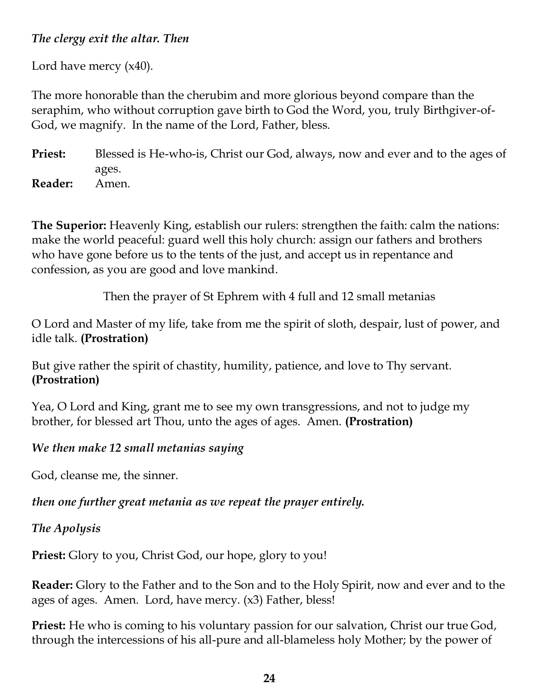#### *The clergy exit the altar. Then*

Lord have mercy (x40).

The more honorable than the cherubim and more glorious beyond compare than the seraphim, who without corruption gave birth to God the Word, you, truly Birthgiver-of-God, we magnify. In the name of the Lord, Father, bless.

**Priest:** Blessed is He-who-is, Christ our God, always, now and ever and to the ages of ages. **Reader:** Amen.

**The Superior:** Heavenly King, establish our rulers: strengthen the faith: calm the nations: make the world peaceful: guard well this holy church: assign our fathers and brothers who have gone before us to the tents of the just, and accept us in repentance and confession, as you are good and love mankind.

Then the prayer of St Ephrem with 4 full and 12 small metanias

O Lord and Master of my life, take from me the spirit of sloth, despair, lust of power, and idle talk. **(Prostration)**

But give rather the spirit of chastity, humility, patience, and love to Thy servant. **(Prostration)**

Yea, O Lord and King, grant me to see my own transgressions, and not to judge my brother, for blessed art Thou, unto the ages of ages. Amen. **(Prostration)**

*We then make 12 small metanias saying*

God, cleanse me, the sinner.

*then one further great metania as we repeat the prayer entirely.*

#### *The Apolysis*

**Priest:** Glory to you, Christ God, our hope, glory to you!

**Reader:** Glory to the Father and to the Son and to the Holy Spirit, now and ever and to the ages of ages. Amen. Lord, have mercy. (x3) Father, bless!

**Priest:** He who is coming to his voluntary passion for our salvation, Christ our true God, through the intercessions of his all-pure and all-blameless holy Mother; by the power of